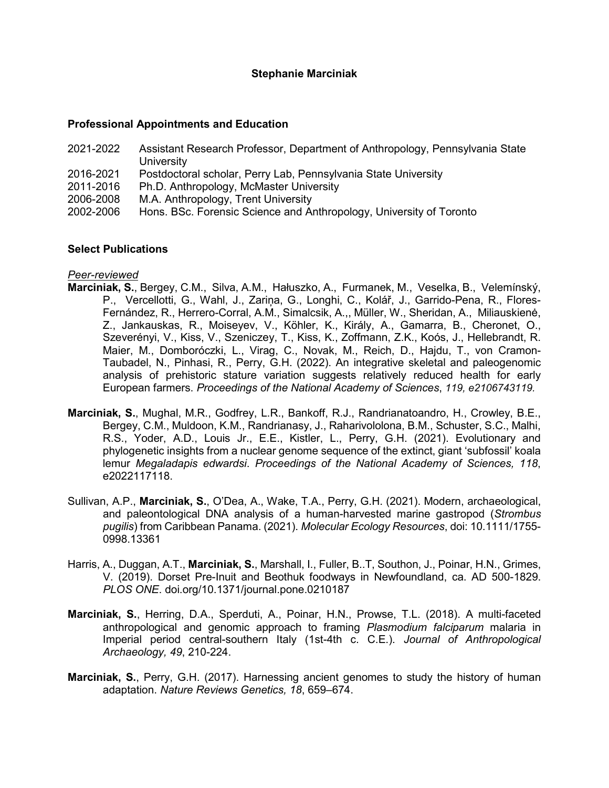# **Stephanie Marciniak**

#### **Professional Appointments and Education**

2021-2022 Assistant Research Professor, Department of Anthropology, Pennsylvania State **University** 2016-2021 Postdoctoral scholar, Perry Lab, Pennsylvania State University 2011-2016 Ph.D. Anthropology, McMaster University 2006-2008 M.A. Anthropology, Trent University 2002-2006 Hons. BSc. Forensic Science and Anthropology, University of Toronto

## **Select Publications**

### *Peer-reviewed*

- **Marciniak, S.**, Bergey, C.M., Silva, A.M., Hałuszko, A., Furmanek, M., Veselka, B., Velemínský, P., Vercellotti, G., Wahl, J., Zariņa, G., Longhi, C., Kolář, J., Garrido-Pena, R., Flores-Fernández, R., Herrero-Corral, A.M., Simalcsik, A.,, Müller, W., Sheridan, A., Miliauskienė, Z., Jankauskas, R., Moiseyev, V., Köhler, K., Király, A., Gamarra, B., Cheronet, O., Szeverényi, V., Kiss, V., Szeniczey, T., Kiss, K., Zoffmann, Z.K., Koós, J., Hellebrandt, R. Maier, M., Domboróczki, L., Virag, C., Novak, M., Reich, D., Hajdu, T., von Cramon-Taubadel, N., Pinhasi, R., Perry, G.H. (2022). An integrative skeletal and paleogenomic analysis of prehistoric stature variation suggests relatively reduced health for early European farmers. *Proceedings of the National Academy of Sciences*, *119, e2106743119.*
- **Marciniak, S.**, Mughal, M.R., Godfrey, L.R., Bankoff, R.J., Randrianatoandro, H., Crowley, B.E., Bergey, C.M., Muldoon, K.M., Randrianasy, J., Raharivololona, B.M., Schuster, S.C., Malhi, R.S., Yoder, A.D., Louis Jr., E.E., Kistler, L., Perry, G.H. (2021). Evolutionary and phylogenetic insights from a nuclear genome sequence of the extinct, giant 'subfossil' koala lemur *Megaladapis edwardsi*. *Proceedings of the National Academy of Sciences, 118*, e2022117118.
- Sullivan, A.P., **Marciniak, S.**, O'Dea, A., Wake, T.A., Perry, G.H. (2021). Modern, archaeological, and paleontological DNA analysis of a human-harvested marine gastropod (*Strombus pugilis*) from Caribbean Panama. (2021). *Molecular Ecology Resources*, doi: 10.1111/1755- 0998.13361
- Harris, A., Duggan, A.T., **Marciniak, S.**, Marshall, I., Fuller, B..T, Southon, J., Poinar, H.N., Grimes, V. (2019). Dorset Pre-Inuit and Beothuk foodways in Newfoundland, ca. AD 500-1829. *PLOS ONE*. doi.org/10.1371/journal.pone.0210187
- **Marciniak, S.**, Herring, D.A., Sperduti, A., Poinar, H.N., Prowse, T.L. (2018). A multi-faceted anthropological and genomic approach to framing *Plasmodium falciparum* malaria in Imperial period central-southern Italy (1st-4th c. C.E.). *Journal of Anthropological Archaeology, 49*, 210-224.
- **Marciniak, S.**, Perry, G.H. (2017). Harnessing ancient genomes to study the history of human adaptation. *Nature Reviews Genetics, 18*, 659–674.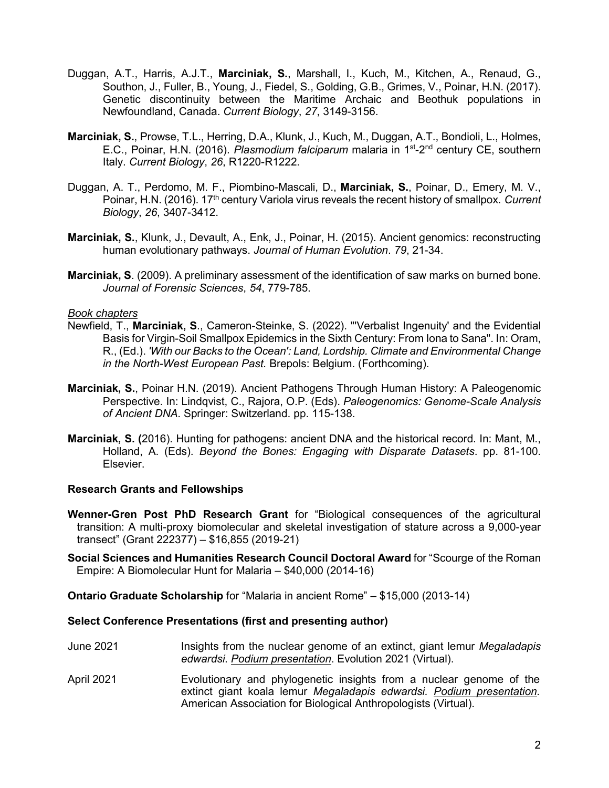- Duggan, A.T., Harris, A.J.T., **Marciniak, S.**, Marshall, I., Kuch, M., Kitchen, A., Renaud, G., Southon, J., Fuller, B., Young, J., Fiedel, S., Golding, G.B., Grimes, V., Poinar, H.N. (2017). Genetic discontinuity between the Maritime Archaic and Beothuk populations in Newfoundland, Canada. *Current Biology*, *27*, 3149-3156.
- **Marciniak, S.**, Prowse, T.L., Herring, D.A., Klunk, J., Kuch, M., Duggan, A.T., Bondioli, L., Holmes, E.C., Poinar, H.N. (2016). *Plasmodium falciparum* malaria in 1st-2nd century CE, southern Italy. *Current Biology*, *26*, R1220-R1222.
- Duggan, A. T., Perdomo, M. F., Piombino-Mascali, D., **Marciniak, S.**, Poinar, D., Emery, M. V., Poinar, H.N. (2016). 17<sup>th</sup> century Variola virus reveals the recent history of smallpox. *Current Biology*, *26*, 3407-3412.
- **Marciniak, S.**, Klunk, J., Devault, A., Enk, J., Poinar, H. (2015). Ancient genomics: reconstructing human evolutionary pathways. *Journal of Human Evolution*. *79*, 21-34.
- **Marciniak, S**. (2009). A preliminary assessment of the identification of saw marks on burned bone. *Journal of Forensic Sciences*, *54*, 779-785.

### *Book chapters*

- Newfield, T., **Marciniak, S**., Cameron-Steinke, S. (2022). "'Verbalist Ingenuity' and the Evidential Basis for Virgin-Soil Smallpox Epidemics in the Sixth Century: From Iona to Sana". In: Oram, R., (Ed.). *'With our Backs to the Ocean': Land, Lordship. Climate and Environmental Change in the North-West European Past.* Brepols: Belgium. (Forthcoming).
- **Marciniak, S.**, Poinar H.N. (2019). Ancient Pathogens Through Human History: A Paleogenomic Perspective. In: Lindqvist, C., Rajora, O.P. (Eds). *Paleogenomics: Genome-Scale Analysis of Ancient DNA*. Springer: Switzerland. pp. 115-138.
- **Marciniak, S. (**2016). Hunting for pathogens: ancient DNA and the historical record. In: Mant, M., Holland, A. (Eds). *Beyond the Bones: Engaging with Disparate Datasets*. pp. 81-100. Elsevier.

### **Research Grants and Fellowships**

- **Wenner-Gren Post PhD Research Grant** for "Biological consequences of the agricultural transition: A multi-proxy biomolecular and skeletal investigation of stature across a 9,000-year transect" (Grant 222377) – \$16,855 (2019-21)
- **Social Sciences and Humanities Research Council Doctoral Award** for "Scourge of the Roman Empire: A Biomolecular Hunt for Malaria – \$40,000 (2014-16)

**Ontario Graduate Scholarship** for "Malaria in ancient Rome" – \$15,000 (2013-14)

## **Select Conference Presentations (first and presenting author)**

- June 2021 Insights from the nuclear genome of an extinct, giant lemur *Megaladapis edwardsi*. *Podium presentation*. Evolution 2021 (Virtual).
- April 2021 Evolutionary and phylogenetic insights from a nuclear genome of the extinct giant koala lemur *Megaladapis edwardsi. Podium presentation*. American Association for Biological Anthropologists (Virtual).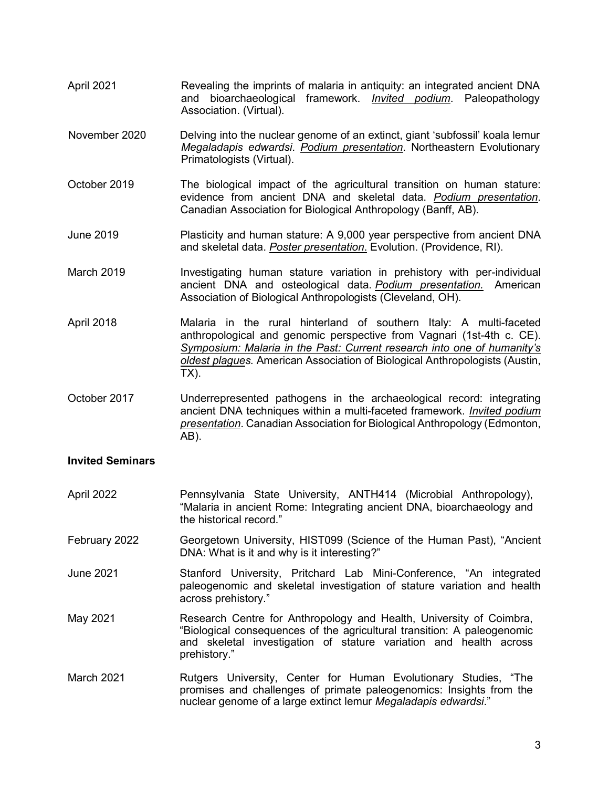- April 2021 Revealing the imprints of malaria in antiquity: an integrated ancient DNA and bioarchaeological framework. *Invited podium*. Paleopathology Association. (Virtual).
- November 2020 Delving into the nuclear genome of an extinct, giant 'subfossil' koala lemur *Megaladapis edwardsi*. *Podium presentation*. Northeastern Evolutionary Primatologists (Virtual).
- October 2019 The biological impact of the agricultural transition on human stature: evidence from ancient DNA and skeletal data. *Podium presentation*. Canadian Association for Biological Anthropology (Banff, AB).
- June 2019 Plasticity and human stature: A 9,000 year perspective from ancient DNA and skeletal data. *Poster presentation*. Evolution. (Providence, RI).
- March 2019 Investigating human stature variation in prehistory with per-individual ancient DNA and osteological data. *Podium presentation.* American Association of Biological Anthropologists (Cleveland, OH).
- April 2018 Malaria in the rural hinterland of southern Italy: A multi-faceted anthropological and genomic perspective from Vagnari (1st-4th c. CE). *Symposium: Malaria in the Past: Current research into one of humanity's oldest plagues.* American Association of Biological Anthropologists (Austin, TX).
- October 2017 Underrepresented pathogens in the archaeological record: integrating ancient DNA techniques within a multi-faceted framework. *Invited podium presentation*. Canadian Association for Biological Anthropology (Edmonton, AB).

# **Invited Seminars**

- April 2022 **Pennsylvania State University, ANTH414 (Microbial Anthropology)**, "Malaria in ancient Rome: Integrating ancient DNA, bioarchaeology and the historical record."
- February 2022 Georgetown University, HIST099 (Science of the Human Past), "Ancient DNA: What is it and why is it interesting?"
- June 2021 Stanford University, Pritchard Lab Mini-Conference, "An integrated paleogenomic and skeletal investigation of stature variation and health across prehistory."
- May 2021 Research Centre for Anthropology and Health, University of Coimbra, "Biological consequences of the agricultural transition: A paleogenomic and skeletal investigation of stature variation and health across prehistory."
- March 2021 Rutgers University, Center for Human Evolutionary Studies, "The promises and challenges of primate paleogenomics: Insights from the nuclear genome of a large extinct lemur *Megaladapis edwardsi*."